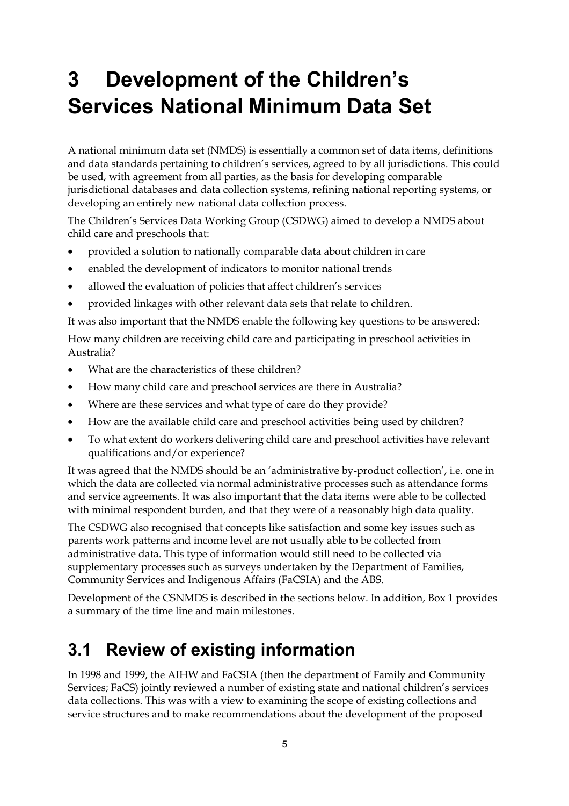# **3 Development of the Children's Services National Minimum Data Set**

A national minimum data set (NMDS) is essentially a common set of data items, definitions and data standards pertaining to children's services, agreed to by all jurisdictions. This could be used, with agreement from all parties, as the basis for developing comparable jurisdictional databases and data collection systems, refining national reporting systems, or developing an entirely new national data collection process.

The Children's Services Data Working Group (CSDWG) aimed to develop a NMDS about child care and preschools that:

- provided a solution to nationally comparable data about children in care
- enabled the development of indicators to monitor national trends
- allowed the evaluation of policies that affect children's services
- provided linkages with other relevant data sets that relate to children.

It was also important that the NMDS enable the following key questions to be answered:

How many children are receiving child care and participating in preschool activities in Australia?

- What are the characteristics of these children?
- How many child care and preschool services are there in Australia?
- Where are these services and what type of care do they provide?
- How are the available child care and preschool activities being used by children?
- To what extent do workers delivering child care and preschool activities have relevant qualifications and/or experience?

It was agreed that the NMDS should be an 'administrative by-product collection', i.e. one in which the data are collected via normal administrative processes such as attendance forms and service agreements. It was also important that the data items were able to be collected with minimal respondent burden, and that they were of a reasonably high data quality.

The CSDWG also recognised that concepts like satisfaction and some key issues such as parents work patterns and income level are not usually able to be collected from administrative data. This type of information would still need to be collected via supplementary processes such as surveys undertaken by the Department of Families, Community Services and Indigenous Affairs (FaCSIA) and the ABS.

Development of the CSNMDS is described in the sections below. In addition, Box 1 provides a summary of the time line and main milestones.

## **3.1 Review of existing information**

In 1998 and 1999, the AIHW and FaCSIA (then the department of Family and Community Services; FaCS) jointly reviewed a number of existing state and national children's services data collections. This was with a view to examining the scope of existing collections and service structures and to make recommendations about the development of the proposed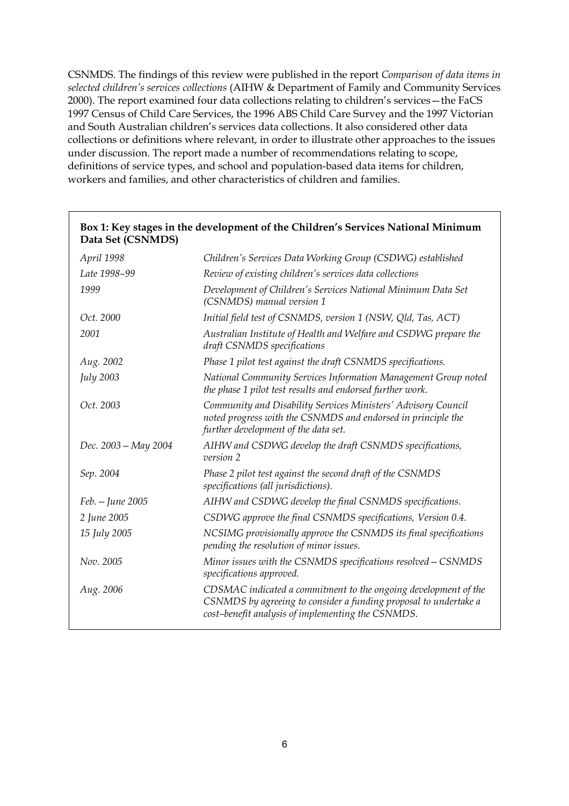CSNMDS. The findings of this review were published in the report *Comparison of data items in selected children's services collections* (AIHW & Department of Family and Community Services 2000). The report examined four data collections relating to children's services—the FaCS 1997 Census of Child Care Services, the 1996 ABS Child Care Survey and the 1997 Victorian and South Australian children's services data collections. It also considered other data collections or definitions where relevant, in order to illustrate other approaches to the issues under discussion. The report made a number of recommendations relating to scope, definitions of service types, and school and population-based data items for children, workers and families, and other characteristics of children and families.

| Dala Sel (CSINNIDS)  |                                                                                                                                                                                          |
|----------------------|------------------------------------------------------------------------------------------------------------------------------------------------------------------------------------------|
| April 1998           | Children's Services Data Working Group (CSDWG) established                                                                                                                               |
| Late 1998-99         | Review of existing children's services data collections                                                                                                                                  |
| 1999                 | Development of Children's Services National Minimum Data Set<br>(CSNMDS) manual version 1                                                                                                |
| Oct. 2000            | Initial field test of CSNMDS, version 1 (NSW, Qld, Tas, ACT)                                                                                                                             |
| 2001                 | Australian Institute of Health and Welfare and CSDWG prepare the<br>draft CSNMDS specifications                                                                                          |
| Aug. 2002            | Phase 1 pilot test against the draft CSNMDS specifications.                                                                                                                              |
| <b>July 2003</b>     | National Community Services Information Management Group noted<br>the phase 1 pilot test results and endorsed further work.                                                              |
| Oct. 2003            | Community and Disability Services Ministers' Advisory Council<br>noted progress with the CSNMDS and endorsed in principle the<br>further development of the data set.                    |
| Dec. 2003 – May 2004 | AIHW and CSDWG develop the draft CSNMDS specifications,<br>version 2                                                                                                                     |
| Sep. 2004            | Phase 2 pilot test against the second draft of the CSNMDS<br>specifications (all jurisdictions).                                                                                         |
| Feb. - June 2005     | AIHW and CSDWG develop the final CSNMDS specifications.                                                                                                                                  |
| 2 June 2005          | CSDWG approve the final CSNMDS specifications, Version 0.4.                                                                                                                              |
| 15 July 2005         | NCSIMG provisionally approve the CSNMDS its final specifications<br>pending the resolution of minor issues.                                                                              |
| Nov. 2005            | Minor issues with the CSNMDS specifications resolved - CSNMDS<br>specifications approved.                                                                                                |
| Aug. 2006            | CDSMAC indicated a commitment to the ongoing development of the<br>CSNMDS by agreeing to consider a funding proposal to undertake a<br>cost-benefit analysis of implementing the CSNMDS. |
|                      |                                                                                                                                                                                          |

### **Box 1: Key stages in the development of the Children's Services National Minimum Data Set (CSNMDS)**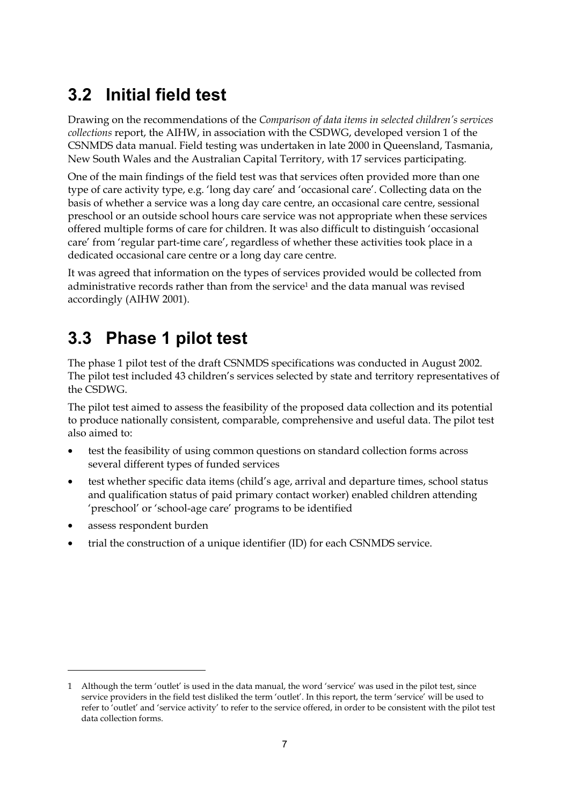## **3.2 Initial field test**

Drawing on the recommendations of the *Comparison of data items in selected children's services collections* report, the AIHW, in association with the CSDWG, developed version 1 of the CSNMDS data manual. Field testing was undertaken in late 2000 in Queensland, Tasmania, New South Wales and the Australian Capital Territory, with 17 services participating.

One of the main findings of the field test was that services often provided more than one type of care activity type, e.g. 'long day care' and 'occasional care'. Collecting data on the basis of whether a service was a long day care centre, an occasional care centre, sessional preschool or an outside school hours care service was not appropriate when these services offered multiple forms of care for children. It was also difficult to distinguish 'occasional care' from 'regular part-time care', regardless of whether these activities took place in a dedicated occasional care centre or a long day care centre.

It was agreed that information on the types of services provided would be collected from administrative records rather than from the service1 and the data manual was revised accordingly (AIHW 2001).

## **3.3 Phase 1 pilot test**

The phase 1 pilot test of the draft CSNMDS specifications was conducted in August 2002. The pilot test included 43 children's services selected by state and territory representatives of the CSDWG.

The pilot test aimed to assess the feasibility of the proposed data collection and its potential to produce nationally consistent, comparable, comprehensive and useful data. The pilot test also aimed to:

- test the feasibility of using common questions on standard collection forms across several different types of funded services
- test whether specific data items (child's age, arrival and departure times, school status and qualification status of paid primary contact worker) enabled children attending 'preschool' or 'school-age care' programs to be identified
- assess respondent burden

 $\overline{a}$ 

• trial the construction of a unique identifier (ID) for each CSNMDS service.

<sup>1</sup> Although the term 'outlet' is used in the data manual, the word 'service' was used in the pilot test, since service providers in the field test disliked the term 'outlet'. In this report, the term 'service' will be used to refer to 'outlet' and 'service activity' to refer to the service offered, in order to be consistent with the pilot test data collection forms.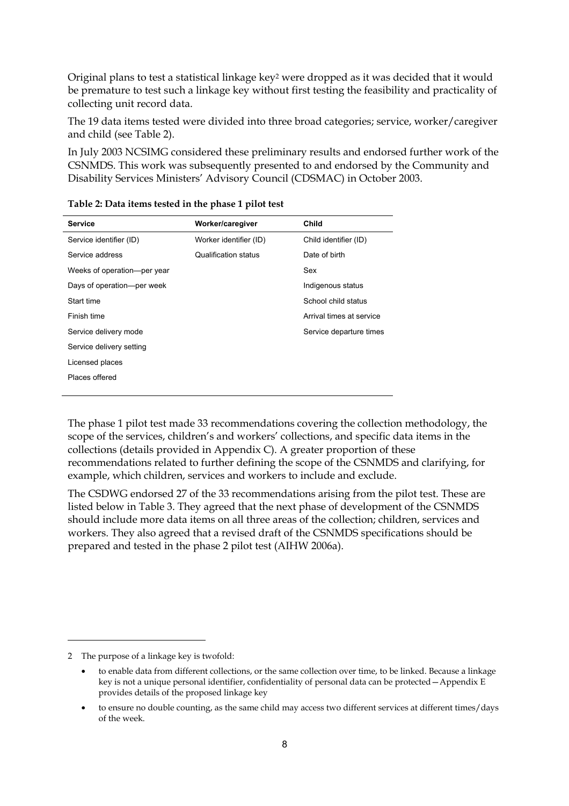Original plans to test a statistical linkage key2 were dropped as it was decided that it would be premature to test such a linkage key without first testing the feasibility and practicality of collecting unit record data.

The 19 data items tested were divided into three broad categories; service, worker/caregiver and child (see Table 2).

In July 2003 NCSIMG considered these preliminary results and endorsed further work of the CSNMDS. This work was subsequently presented to and endorsed by the Community and Disability Services Ministers' Advisory Council (CDSMAC) in October 2003.

| <b>Service</b>              | Worker/caregiver       | Child                    |
|-----------------------------|------------------------|--------------------------|
|                             |                        |                          |
| Service identifier (ID)     | Worker identifier (ID) | Child identifier (ID)    |
| Service address             | Qualification status   | Date of birth            |
| Weeks of operation-per year |                        | Sex                      |
| Days of operation—per week  |                        | Indigenous status        |
| Start time                  |                        | School child status      |
| Finish time                 |                        | Arrival times at service |
| Service delivery mode       |                        | Service departure times  |
| Service delivery setting    |                        |                          |
| Licensed places             |                        |                          |
| Places offered              |                        |                          |
|                             |                        |                          |

| Table 2: Data items tested in the phase 1 pilot test |  |
|------------------------------------------------------|--|
|------------------------------------------------------|--|

The phase 1 pilot test made 33 recommendations covering the collection methodology, the scope of the services, children's and workers' collections, and specific data items in the collections (details provided in Appendix C). A greater proportion of these recommendations related to further defining the scope of the CSNMDS and clarifying, for example, which children, services and workers to include and exclude.

The CSDWG endorsed 27 of the 33 recommendations arising from the pilot test. These are listed below in Table 3. They agreed that the next phase of development of the CSNMDS should include more data items on all three areas of the collection; children, services and workers. They also agreed that a revised draft of the CSNMDS specifications should be prepared and tested in the phase 2 pilot test (AIHW 2006a).

 $\overline{a}$ 

<sup>2</sup> The purpose of a linkage key is twofold:

<sup>•</sup> to enable data from different collections, or the same collection over time, to be linked. Because a linkage key is not a unique personal identifier, confidentiality of personal data can be protected—Appendix E provides details of the proposed linkage key

<sup>•</sup> to ensure no double counting, as the same child may access two different services at different times/days of the week.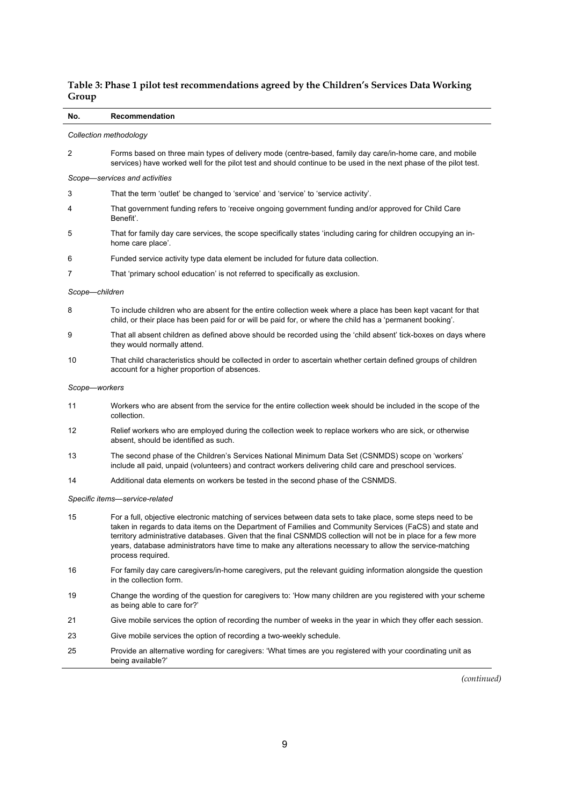| Table 3: Phase 1 pilot test recommendations agreed by the Children's Services Data Working |  |
|--------------------------------------------------------------------------------------------|--|
| Group                                                                                      |  |

### **No. Recommendation**  *Collection methodology*  2 Forms based on three main types of delivery mode (centre-based, family day care/in-home care, and mobile services) have worked well for the pilot test and should continue to be used in the next phase of the pilot test. *Scope—services and activities*  3 That the term 'outlet' be changed to 'service' and 'service' to 'service activity'. 4 That government funding refers to 'receive ongoing government funding and/or approved for Child Care Benefit'. 5 That for family day care services, the scope specifically states 'including caring for children occupying an inhome care place'. 6 Funded service activity type data element be included for future data collection. 7 That 'primary school education' is not referred to specifically as exclusion. *Scope—children*  8 To include children who are absent for the entire collection week where a place has been kept vacant for that child, or their place has been paid for or will be paid for, or where the child has a 'permanent booking'. 9 That all absent children as defined above should be recorded using the 'child absent' tick-boxes on days where they would normally attend. 10 That child characteristics should be collected in order to ascertain whether certain defined groups of children account for a higher proportion of absences. *Scope—workers*  11 Workers who are absent from the service for the entire collection week should be included in the scope of the collection. 12 Relief workers who are employed during the collection week to replace workers who are sick, or otherwise absent, should be identified as such. 13 The second phase of the Children's Services National Minimum Data Set (CSNMDS) scope on 'workers' include all paid, unpaid (volunteers) and contract workers delivering child care and preschool services. 14 Additional data elements on workers be tested in the second phase of the CSNMDS. *Specific items—service-related*  15 For a full, objective electronic matching of services between data sets to take place, some steps need to be taken in regards to data items on the Department of Families and Community Services (FaCS) and state and territory administrative databases. Given that the final CSNMDS collection will not be in place for a few more years, database administrators have time to make any alterations necessary to allow the service-matching process required. 16 For family day care caregivers/in-home caregivers, put the relevant guiding information alongside the question in the collection form.

- 19 Change the wording of the question for caregivers to: 'How many children are you registered with your scheme as being able to care for?'
- 21 Give mobile services the option of recording the number of weeks in the year in which they offer each session.
- 23 Give mobile services the option of recording a two-weekly schedule.
- 25 Provide an alternative wording for caregivers: 'What times are you registered with your coordinating unit as being available?'

*(continued)*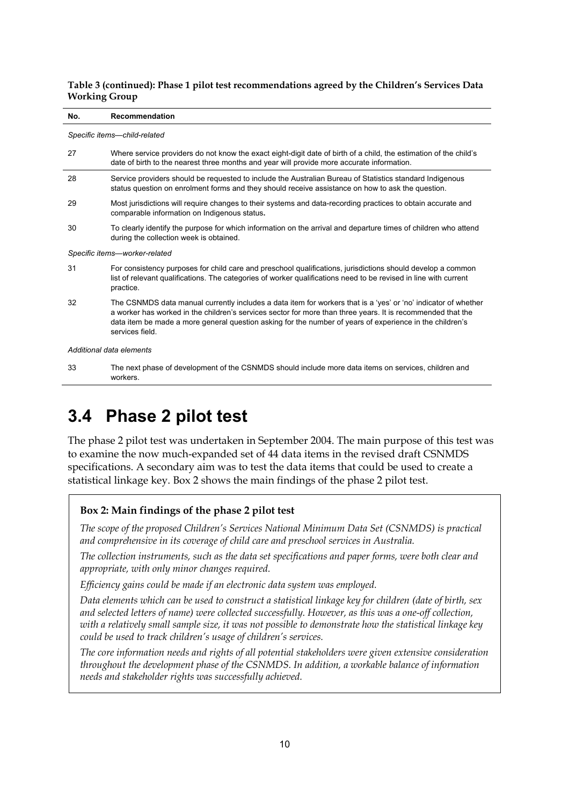#### **Table 3 (continued): Phase 1 pilot test recommendations agreed by the Children's Services Data Working Group**

#### **No. Recommendation**

*Specific items—child-related* 

| 27                            | Where service providers do not know the exact eight-digit date of birth of a child, the estimation of the child's<br>date of birth to the nearest three months and year will provide more accurate information.                                                                                                                                              |  |
|-------------------------------|--------------------------------------------------------------------------------------------------------------------------------------------------------------------------------------------------------------------------------------------------------------------------------------------------------------------------------------------------------------|--|
| 28                            | Service providers should be requested to include the Australian Bureau of Statistics standard Indigenous<br>status question on enrolment forms and they should receive assistance on how to ask the question.                                                                                                                                                |  |
| 29                            | Most jurisdictions will require changes to their systems and data-recording practices to obtain accurate and<br>comparable information on Indigenous status.                                                                                                                                                                                                 |  |
| 30                            | To clearly identify the purpose for which information on the arrival and departure times of children who attend<br>during the collection week is obtained.                                                                                                                                                                                                   |  |
| Specific items-worker-related |                                                                                                                                                                                                                                                                                                                                                              |  |
| 31                            | For consistency purposes for child care and preschool qualifications, jurisdictions should develop a common<br>list of relevant qualifications. The categories of worker qualifications need to be revised in line with current<br>practice.                                                                                                                 |  |
| 32                            | The CSNMDS data manual currently includes a data item for workers that is a 'yes' or 'no' indicator of whether<br>a worker has worked in the children's services sector for more than three years. It is recommended that the<br>data item be made a more general question asking for the number of years of experience in the children's<br>services field. |  |
|                               | Additional data elements                                                                                                                                                                                                                                                                                                                                     |  |

33 The next phase of development of the CSNMDS should include more data items on services, children and workers.

## **3.4 Phase 2 pilot test**

The phase 2 pilot test was undertaken in September 2004. The main purpose of this test was to examine the now much-expanded set of 44 data items in the revised draft CSNMDS specifications. A secondary aim was to test the data items that could be used to create a statistical linkage key. Box 2 shows the main findings of the phase 2 pilot test.

### **Box 2: Main findings of the phase 2 pilot test**

*The scope of the proposed Children's Services National Minimum Data Set (CSNMDS) is practical and comprehensive in its coverage of child care and preschool services in Australia.* 

*The collection instruments, such as the data set specifications and paper forms, were both clear and appropriate, with only minor changes required.* 

*Efficiency gains could be made if an electronic data system was employed.* 

*Data elements which can be used to construct a statistical linkage key for children (date of birth, sex and selected letters of name) were collected successfully. However, as this was a one-off collection, with a relatively small sample size, it was not possible to demonstrate how the statistical linkage key could be used to track children's usage of children's services.* 

*The core information needs and rights of all potential stakeholders were given extensive consideration throughout the development phase of the CSNMDS. In addition, a workable balance of information needs and stakeholder rights was successfully achieved.*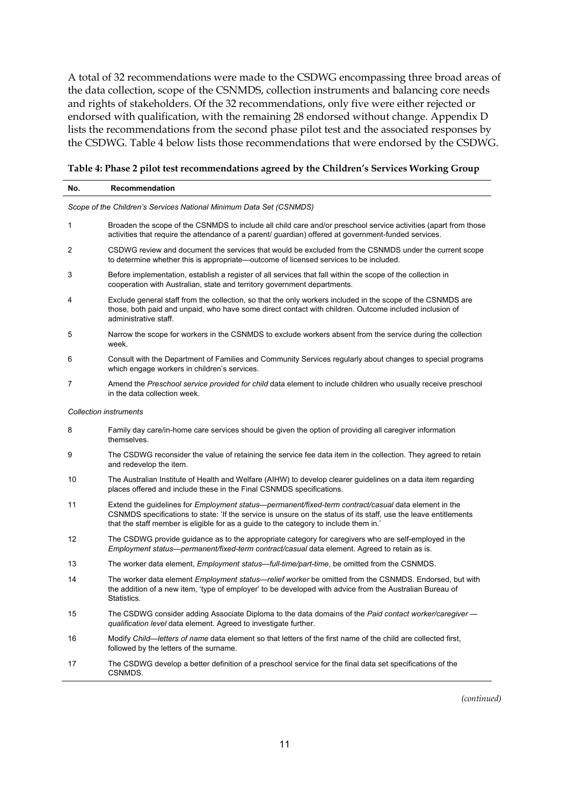A total of 32 recommendations were made to the CSDWG encompassing three broad areas of the data collection, scope of the CSNMDS, collection instruments and balancing core needs and rights of stakeholders. Of the 32 recommendations, only five were either rejected or endorsed with qualification, with the remaining 28 endorsed without change. Appendix D lists the recommendations from the second phase pilot test and the associated responses by the CSDWG. Table 4 below lists those recommendations that were endorsed by the CSDWG.

### **Table 4: Phase 2 pilot test recommendations agreed by the Children's Services Working Group**

| No. | Recommendation                                                                                                                                                                                                                                                                                                           |
|-----|--------------------------------------------------------------------------------------------------------------------------------------------------------------------------------------------------------------------------------------------------------------------------------------------------------------------------|
|     | Scope of the Children's Services National Minimum Data Set (CSNMDS)                                                                                                                                                                                                                                                      |
| 1   | Broaden the scope of the CSNMDS to include all child care and/or preschool service activities (apart from those<br>activities that require the attendance of a parent/ quardian) offered at government-funded services.                                                                                                  |
| 2   | CSDWG review and document the services that would be excluded from the CSNMDS under the current scope<br>to determine whether this is appropriate—outcome of licensed services to be included.                                                                                                                           |
| 3   | Before implementation, establish a register of all services that fall within the scope of the collection in<br>cooperation with Australian, state and territory government departments.                                                                                                                                  |
| 4   | Exclude general staff from the collection, so that the only workers included in the scope of the CSNMDS are<br>those, both paid and unpaid, who have some direct contact with children. Outcome included inclusion of<br>administrative staff.                                                                           |
| 5   | Narrow the scope for workers in the CSNMDS to exclude workers absent from the service during the collection<br>week.                                                                                                                                                                                                     |
| 6   | Consult with the Department of Families and Community Services regularly about changes to special programs<br>which engage workers in children's services.                                                                                                                                                               |
| 7   | Amend the Preschool service provided for child data element to include children who usually receive preschool<br>in the data collection week.                                                                                                                                                                            |
|     | <b>Collection instruments</b>                                                                                                                                                                                                                                                                                            |
| 8   | Family day care/in-home care services should be given the option of providing all caregiver information<br>themselves.                                                                                                                                                                                                   |
| 9   | The CSDWG reconsider the value of retaining the service fee data item in the collection. They agreed to retain<br>and redevelop the item.                                                                                                                                                                                |
| 10  | The Australian Institute of Health and Welfare (AIHW) to develop clearer guidelines on a data item regarding<br>places offered and include these in the Final CSNMDS specifications.                                                                                                                                     |
| 11  | Extend the guidelines for <i>Employment status—permanent/fixed-term contract/casual</i> data element in the<br>CSNMDS specifications to state: 'If the service is unsure on the status of its staff, use the leave entitlements<br>that the staff member is eligible for as a guide to the category to include them in.' |
| 12  | The CSDWG provide guidance as to the appropriate category for caregivers who are self-employed in the<br>Employment status—permanent/fixed-term contract/casual data element. Agreed to retain as is.                                                                                                                    |
| 13  | The worker data element, <i>Employment status—full-time/part-time</i> , be omitted from the CSNMDS.                                                                                                                                                                                                                      |
| 14  | The worker data element <i>Employment status—relief worker</i> be omitted from the CSNMDS. Endorsed, but with<br>the addition of a new item, 'type of employer' to be developed with advice from the Australian Bureau of<br>Statistics.                                                                                 |
| 15  | The CSDWG consider adding Associate Diploma to the data domains of the Paid contact worker/caregiver -<br>qualification level data element. Agreed to investigate further.                                                                                                                                               |
| 16  | Modify Child—letters of name data element so that letters of the first name of the child are collected first,<br>followed by the letters of the surname.                                                                                                                                                                 |
| 17  | The CSDWG develop a better definition of a preschool service for the final data set specifications of the<br>CSNMDS.                                                                                                                                                                                                     |

*(continued)*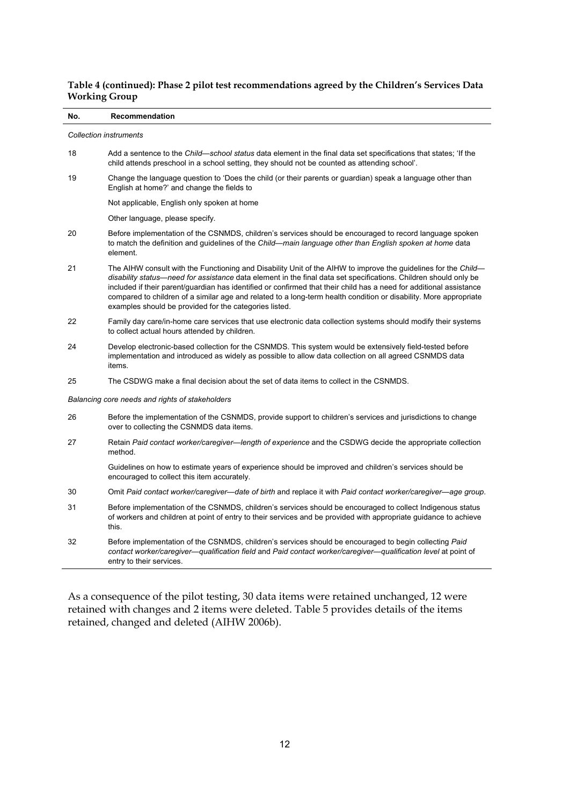### **Table 4 (continued): Phase 2 pilot test recommendations agreed by the Children's Services Data Working Group**

| No. | Recommendation                                                                                                                                                                                                                                                                                                                                                                                                                                                                                                                           |  |  |  |
|-----|------------------------------------------------------------------------------------------------------------------------------------------------------------------------------------------------------------------------------------------------------------------------------------------------------------------------------------------------------------------------------------------------------------------------------------------------------------------------------------------------------------------------------------------|--|--|--|
|     | <b>Collection instruments</b>                                                                                                                                                                                                                                                                                                                                                                                                                                                                                                            |  |  |  |
| 18  | Add a sentence to the Child—school status data element in the final data set specifications that states; 'If the<br>child attends preschool in a school setting, they should not be counted as attending school'.                                                                                                                                                                                                                                                                                                                        |  |  |  |
| 19  | Change the language question to 'Does the child (or their parents or guardian) speak a language other than<br>English at home?' and change the fields to                                                                                                                                                                                                                                                                                                                                                                                 |  |  |  |
|     | Not applicable, English only spoken at home                                                                                                                                                                                                                                                                                                                                                                                                                                                                                              |  |  |  |
|     | Other language, please specify.                                                                                                                                                                                                                                                                                                                                                                                                                                                                                                          |  |  |  |
| 20  | Before implementation of the CSNMDS, children's services should be encouraged to record language spoken<br>to match the definition and guidelines of the Child-main language other than English spoken at home data<br>element.                                                                                                                                                                                                                                                                                                          |  |  |  |
| 21  | The AIHW consult with the Functioning and Disability Unit of the AIHW to improve the guidelines for the Child—<br>disability status—need for assistance data element in the final data set specifications. Children should only be<br>included if their parent/guardian has identified or confirmed that their child has a need for additional assistance<br>compared to children of a similar age and related to a long-term health condition or disability. More appropriate<br>examples should be provided for the categories listed. |  |  |  |
| 22  | Family day care/in-home care services that use electronic data collection systems should modify their systems<br>to collect actual hours attended by children.                                                                                                                                                                                                                                                                                                                                                                           |  |  |  |
| 24  | Develop electronic-based collection for the CSNMDS. This system would be extensively field-tested before<br>implementation and introduced as widely as possible to allow data collection on all agreed CSNMDS data<br>items.                                                                                                                                                                                                                                                                                                             |  |  |  |
| 25  | The CSDWG make a final decision about the set of data items to collect in the CSNMDS.                                                                                                                                                                                                                                                                                                                                                                                                                                                    |  |  |  |
|     | Balancing core needs and rights of stakeholders                                                                                                                                                                                                                                                                                                                                                                                                                                                                                          |  |  |  |
| 26  | Before the implementation of the CSNMDS, provide support to children's services and jurisdictions to change<br>over to collecting the CSNMDS data items.                                                                                                                                                                                                                                                                                                                                                                                 |  |  |  |
| 27  | Retain Paid contact worker/caregiver—length of experience and the CSDWG decide the appropriate collection<br>method.                                                                                                                                                                                                                                                                                                                                                                                                                     |  |  |  |
|     | Guidelines on how to estimate years of experience should be improved and children's services should be<br>encouraged to collect this item accurately.                                                                                                                                                                                                                                                                                                                                                                                    |  |  |  |
| 30  | Omit Paid contact worker/caregiver—date of birth and replace it with Paid contact worker/caregiver—age group.                                                                                                                                                                                                                                                                                                                                                                                                                            |  |  |  |
| 31  | Before implementation of the CSNMDS, children's services should be encouraged to collect Indigenous status<br>of workers and children at point of entry to their services and be provided with appropriate guidance to achieve<br>this.                                                                                                                                                                                                                                                                                                  |  |  |  |
| 32  | Before implementation of the CSNMDS, children's services should be encouraged to begin collecting Paid<br>contact worker/caregiver—qualification field and Paid contact worker/caregiver—qualification level at point of<br>entry to their services.                                                                                                                                                                                                                                                                                     |  |  |  |

As a consequence of the pilot testing, 30 data items were retained unchanged, 12 were retained with changes and 2 items were deleted. Table 5 provides details of the items retained, changed and deleted (AIHW 2006b).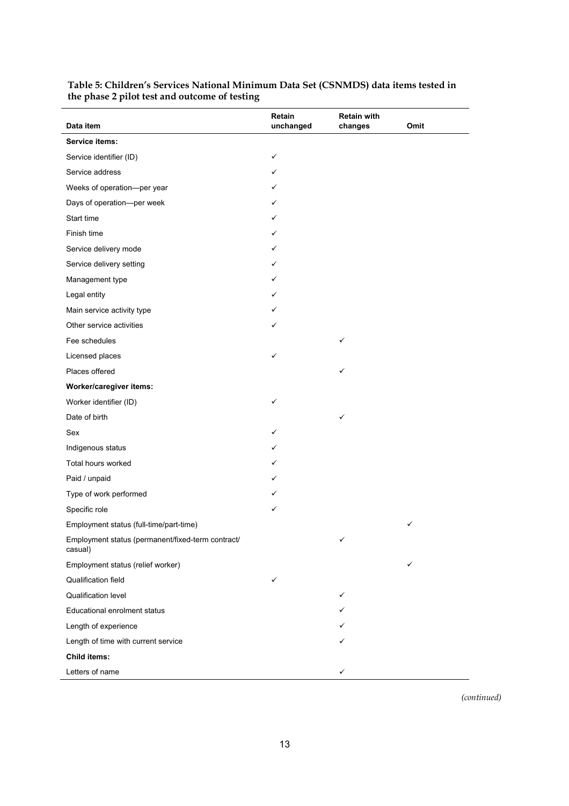| Data item                                                    | Retain<br>unchanged | <b>Retain with</b><br>changes | Omit |
|--------------------------------------------------------------|---------------------|-------------------------------|------|
| Service items:                                               |                     |                               |      |
| Service identifier (ID)                                      | ✓                   |                               |      |
| Service address                                              | ✓                   |                               |      |
| Weeks of operation-per year                                  | ✓                   |                               |      |
| Days of operation-per week                                   | ✓                   |                               |      |
| Start time                                                   | ✓                   |                               |      |
| Finish time                                                  | ✓                   |                               |      |
| Service delivery mode                                        | ✓                   |                               |      |
| Service delivery setting                                     | ✓                   |                               |      |
| Management type                                              | ✓                   |                               |      |
| Legal entity                                                 | ✓                   |                               |      |
| Main service activity type                                   | ✓                   |                               |      |
| Other service activities                                     | ✓                   |                               |      |
| Fee schedules                                                |                     | ✓                             |      |
| Licensed places                                              | ✓                   |                               |      |
| Places offered                                               |                     | ✓                             |      |
| Worker/caregiver items:                                      |                     |                               |      |
| Worker identifier (ID)                                       | ✓                   |                               |      |
| Date of birth                                                |                     | ✓                             |      |
| Sex                                                          | ✓                   |                               |      |
| Indigenous status                                            | ✓                   |                               |      |
| Total hours worked                                           | ✓                   |                               |      |
| Paid / unpaid                                                | ✓                   |                               |      |
| Type of work performed                                       | ✓                   |                               |      |
| Specific role                                                | ✓                   |                               |      |
| Employment status (full-time/part-time)                      |                     |                               | ✓    |
| Employment status (permanent/fixed-term contract/<br>casual) |                     | ✓                             |      |
| Employment status (relief worker)                            |                     |                               | ✓    |
| Qualification field                                          | ✓                   |                               |      |
| Qualification level                                          |                     | ✓                             |      |
| Educational enrolment status                                 |                     | ✓                             |      |
| Length of experience                                         |                     | ✓                             |      |
| Length of time with current service                          |                     |                               |      |
| <b>Child items:</b>                                          |                     |                               |      |
| Letters of name                                              |                     | ✓                             |      |

#### **Table 5: Children's Services National Minimum Data Set (CSNMDS) data items tested in the phase 2 pilot test and outcome of testing**

*(continued)*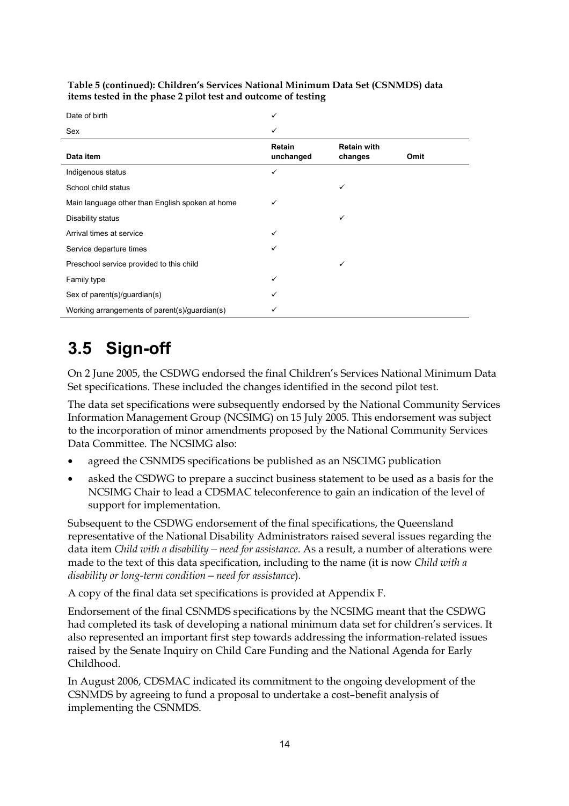| Date of birth                                   | ✓                   |                               |      |
|-------------------------------------------------|---------------------|-------------------------------|------|
| Sex                                             | ✓                   |                               |      |
| Data item                                       | Retain<br>unchanged | <b>Retain with</b><br>changes | Omit |
| Indigenous status                               | ✓                   |                               |      |
| School child status                             |                     | ✓                             |      |
| Main language other than English spoken at home | ✓                   |                               |      |
| Disability status                               |                     | ✓                             |      |
| Arrival times at service                        | ✓                   |                               |      |
| Service departure times                         | ✓                   |                               |      |
| Preschool service provided to this child        |                     | ✓                             |      |
| Family type                                     | ✓                   |                               |      |
| Sex of parent(s)/guardian(s)                    | ✓                   |                               |      |
| Working arrangements of parent(s)/guardian(s)   | ✓                   |                               |      |

**Table 5 (continued): Children's Services National Minimum Data Set (CSNMDS) data items tested in the phase 2 pilot test and outcome of testing** 

## **3.5 Sign-off**

On 2 June 2005, the CSDWG endorsed the final Children's Services National Minimum Data Set specifications. These included the changes identified in the second pilot test.

The data set specifications were subsequently endorsed by the National Community Services Information Management Group (NCSIMG) on 15 July 2005. This endorsement was subject to the incorporation of minor amendments proposed by the National Community Services Data Committee. The NCSIMG also:

- agreed the CSNMDS specifications be published as an NSCIMG publication
- asked the CSDWG to prepare a succinct business statement to be used as a basis for the NCSIMG Chair to lead a CDSMAC teleconference to gain an indication of the level of support for implementation.

Subsequent to the CSDWG endorsement of the final specifications, the Queensland representative of the National Disability Administrators raised several issues regarding the data item *Child with a disability—need for assistance*. As a result, a number of alterations were made to the text of this data specification, including to the name (it is now *Child with a disability or long-term condition—need for assistance*).

A copy of the final data set specifications is provided at Appendix F.

Endorsement of the final CSNMDS specifications by the NCSIMG meant that the CSDWG had completed its task of developing a national minimum data set for children's services. It also represented an important first step towards addressing the information-related issues raised by the Senate Inquiry on Child Care Funding and the National Agenda for Early Childhood.

In August 2006, CDSMAC indicated its commitment to the ongoing development of the CSNMDS by agreeing to fund a proposal to undertake a cost–benefit analysis of implementing the CSNMDS.